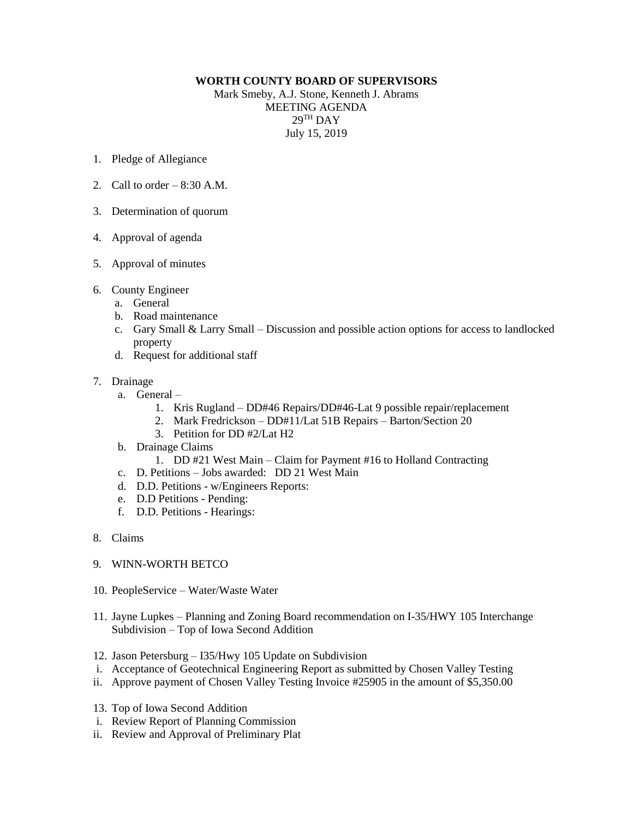## **WORTH COUNTY BOARD OF SUPERVISORS**

Mark Smeby, A.J. Stone, Kenneth J. Abrams MEETING AGENDA  $29^{\mathrm{TH}}$  DAY July 15, 2019

- 1. Pledge of Allegiance
- 2. Call to order  $-8:30$  A.M.
- 3. Determination of quorum
- 4. Approval of agenda
- 5. Approval of minutes
- 6. County Engineer
	- a. General
	- b. Road maintenance
	- c. Gary Small & Larry Small Discussion and possible action options for access to landlocked property
	- d. Request for additional staff
- 7. Drainage
	- a. General
		- 1. Kris Rugland DD#46 Repairs/DD#46-Lat 9 possible repair/replacement
		- 2. Mark Fredrickson DD#11/Lat 51B Repairs Barton/Section 20
		- 3. Petition for DD #2/Lat H2
	- b. Drainage Claims
		- 1. DD #21 West Main Claim for Payment #16 to Holland Contracting
	- c. D. Petitions Jobs awarded: DD 21 West Main
	- d. D.D. Petitions w/Engineers Reports:
	- e. D.D Petitions Pending:
	- f. D.D. Petitions Hearings:
- 8. Claims
- 9. WINN-WORTH BETCO
- 10. PeopleService Water/Waste Water
- 11. Jayne Lupkes Planning and Zoning Board recommendation on I-35/HWY 105 Interchange Subdivision – Top of Iowa Second Addition
- 12. Jason Petersburg I35/Hwy 105 Update on Subdivision
- i. Acceptance of Geotechnical Engineering Report as submitted by Chosen Valley Testing
- ii. Approve payment of Chosen Valley Testing Invoice #25905 in the amount of \$5,350.00
- 13. Top of Iowa Second Addition
- i. Review Report of Planning Commission
- ii. Review and Approval of Preliminary Plat